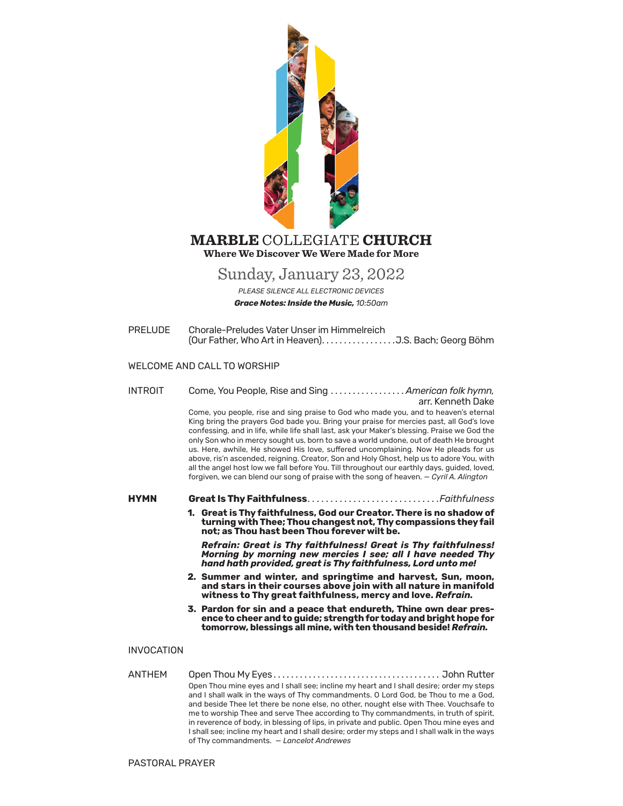

## **Where We Discover We Were Made for More MARBLE** COLLEGIATE **CHURCH**

# Sunday, January 23, 2022

*PLEASE SILENCE ALL ELECTRONIC DEVICES Grace Notes: Inside the Music, 10:50am*

PRELUDE Chorale-Preludes Vater Unser im Himmelreich (Our Father, Who Art in Heaven)� � � � � � � � � � � � � � � � �J.S. Bach; Georg Böhm

## WELCOME AND CALL TO WORSHIP

INTROIT Come, You People, Rise and Sing ................. American folk hymn, arr. Kenneth Dake Come, you people, rise and sing praise to God who made you, and to heaven's eternal King bring the prayers God bade you. Bring your praise for mercies past, all God's love confessing, and in life, while life shall last, ask your Maker's blessing. Praise we God the only Son who in mercy sought us, born to save a world undone, out of death He brought us. Here, awhile, He showed His love, suffered uncomplaining. Now He pleads for us above, ris'n ascended, reigning. Creator, Son and Holy Ghost, help us to adore You, with all the angel host low we fall before You. Till throughout our earthly days, guided, loved, forgiven, we can blend our song of praise with the song of heaven. — *Cyril A. Alington* 

HYMN **Great Is Thy Faithfulness**..............................Faithfulness

**1. Great is Thy faithfulness, God our Creator. There is no shadow of turning with Thee; Thou changest not, Thy compassions they fail not; as Thou hast been Thou forever wilt be.**

*Refrain: Great is Thy faithfulness! Great is Thy faithfulness! Morning by morning new mercies I see; all I have needed Thy hand hath provided, great is Thy faithfulness, Lord unto me!*

- **2. Summer and winter, and springtime and harvest, Sun, moon, and stars in their courses above join with all nature in manifold witness to Thy great faithfulness, mercy and love.** *Refrain.*
- **3. Pardon for sin and a peace that endureth, Thine own dear pres- ence to cheer and to guide; strength for today and bright hope for tomorrow, blessings all mine, with ten thousand beside!** *Refrain.*

## INVOCATION

ANTHEM Open Thou My Eyes. . . John Rutter Open Thou mine eyes and I shall see; incline my heart and I shall desire; order my steps and I shall walk in the ways of Thy commandments. O Lord God, be Thou to me a God, and beside Thee let there be none else, no other, nought else with Thee. Vouchsafe to me to worship Thee and serve Thee according to Thy commandments, in truth of spirit, in reverence of body, in blessing of lips, in private and public. Open Thou mine eyes and I shall see; incline my heart and I shall desire; order my steps and I shall walk in the ways of Thy commandments. — *Lancelot Andrewes*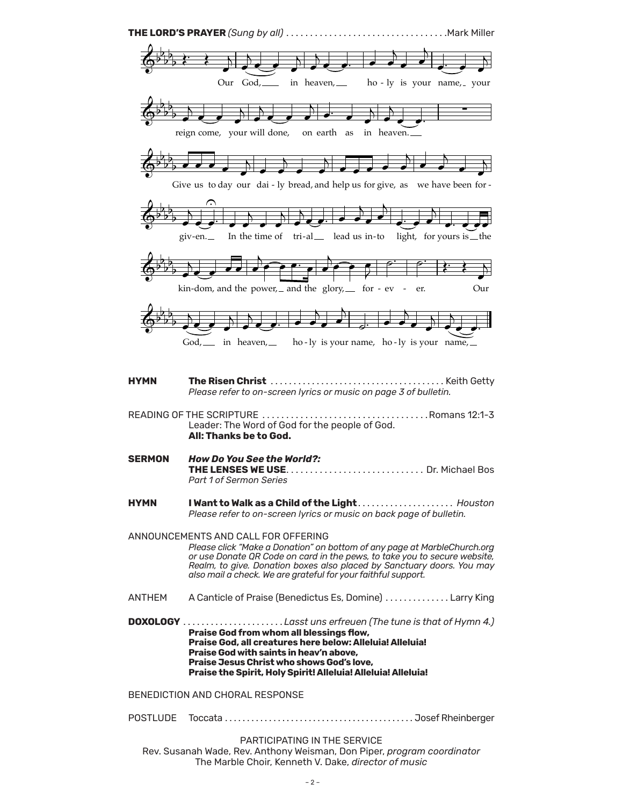

Rev. Susanah Wade, Rev. Anthony Weisman, Don Piper, program coordinator The Marble Choir, Kenneth V. Dake, director of music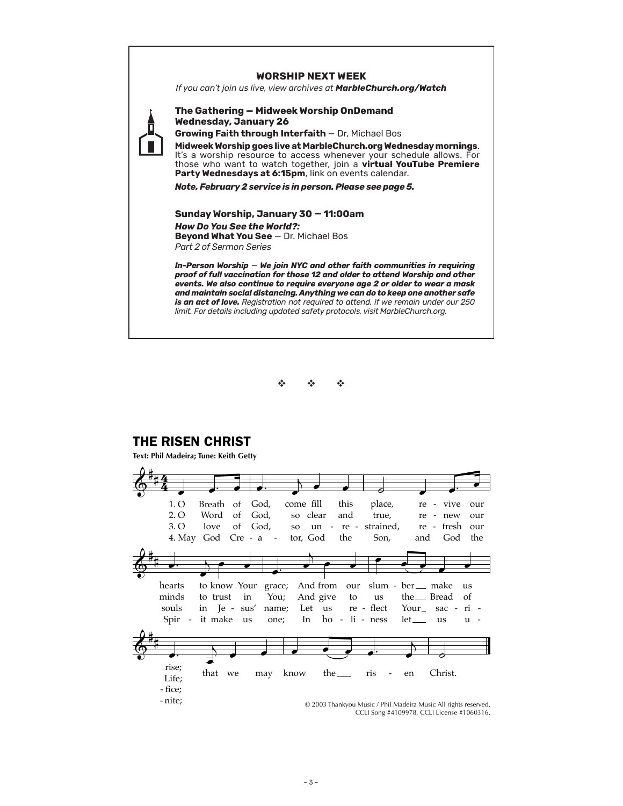## **WORSHIP NEXT WEEK**

*If you can't join us live, view archives at MarbleChurch.org/Watch*



## **The Gathering — Midweek Worship OnDemand Wednesday, January 26**

**Growing Faith through Interfaith** — Dr, Michael Bos

**Midweek Worship goes live at MarbleChurch.org Wednesday mornings**. It's a worship resource to access whenever your schedule allows. For those who want to watch together, join a **virtual YouTube Premiere**  Party Wednesdays at 6:15pm, link on events calendar.

*Note, February 2 service is in person. Please see page 5.*

**Sunday Worship, January 30 — 11:00am** *How Do You See the World?:* **Beyond What You See** — Dr. Michael Bos *Part 2 of Sermon Series*

*In-Person Worship* — *We join NYC and other faith communities in requiring proof of full vaccination for those 12 and older to attend Worship and other events. We also continue to require everyone age 2 or older to wear a mask and maintain social distancing. Anything we can do to keep one another safe is an act of love. Registration not required to attend, if we remain under our 250 limit. For details including updated safety protocols, visit MarbleChurch.org.*



# THE RISEN CHRIST

**Text: Phil Madeira; Tune: Keith Getty**

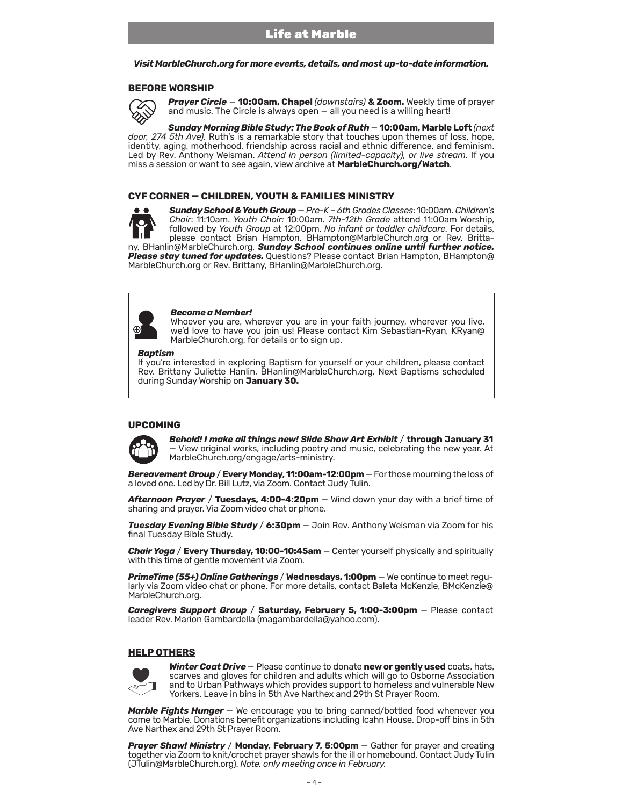#### *Visit MarbleChurch.org for more events, details, and most up-to-date information.*

### **BEFORE WORSHIP**



*Prayer Circle* — **10:00am, Chapel** *(downstairs)* **& Zoom.** Weekly time of prayer and music. The Circle is always open — all you need is a willing heart!

*Sunday Morning Bible Study: The Book of Ruth* — **10:00am, Marble Loft** *(next door, 274 5th Ave).* Ruth's is a remarkable story that touches upon themes of loss, hope, identity, aging, motherhood, friendship across racial and ethnic difference, and feminism. Led by Rev. Anthony Weisman. *Attend in person (limited-capacity), or live stream.* If you miss a session or want to see again, view archive at **MarbleChurch.org/Watch**.

### **CYF CORNER — CHILDREN, YOUTH & FAMILIES MINISTRY**



*Sunday School & Youth Group* — *Pre-K – 6th Grades Classes*: 10:00am.*Children's Choir*: 11:10am. *Youth Choir:* 10:00am. *7th-12th Grade* attend 11:00am Worship, followed by *Youth Group* at 12:00pm. *No infant or toddler childcare.* For details, please contact Brian Hampton, BHampton@MarbleChurch.org or Rev. Brittany, BHanlin@MarbleChurch.org. *Sunday School continues online until further notice.* 

*Please stay tuned for updates.* Questions? Please contact Brian Hampton, BHampton@ MarbleChurch.org or Rev. Brittany, BHanlin@MarbleChurch.org.



#### *Become a Member!*

Whoever you are, wherever you are in your faith journey, wherever you live, we'd love to have you join us! Please contact Kim Sebastian-Ryan, KRyan@ MarbleChurch.org, for details or to sign up.

#### *Baptism*

If you're interested in exploring Baptism for yourself or your children, please contact Rev. Brittany Juliette Hanlin, BHanlin@MarbleChurch.org. Next Baptisms scheduled during Sunday Worship on **January 30.**

## **UPCOMING**



*Behold! I make all things new! Slide Show Art Exhibit* / **through January 31**  — View original works, including poetry and music, celebrating the new year. At MarbleChurch.org/engage/arts-ministry.

*Bereavement Group* / **Every Monday, 11:00am-12:00pm** — For those mourning the loss of a loved one. Led by Dr. Bill Lutz, via Zoom. Contact Judy Tulin.

*Afternoon Prayer* / **Tuesdays, 4:00-4:20pm** — Wind down your day with a brief time of sharing and prayer. Via Zoom video chat or phone.

*Tuesday Evening Bible Study* / **6:30pm** — Join Rev. Anthony Weisman via Zoom for his final Tuesday Bible Study.

*Chair Yoga* / **Every Thursday, 10:00-10:45am** — Center yourself physically and spiritually with this time of gentle movement via Zoom.

*PrimeTime (55+) Online Gatherings* / **Wednesdays, 1:00pm** — We continue to meet regularly via Zoom video chat or phone. For more details, contact Baleta McKenzie, BMcKenzie@ MarbleChurch.org.

*Caregivers Support Group* / **Saturday, February 5, 1:00-3:00pm** — Please contact leader Rev. Marion Gambardella (magambardella@yahoo.com).

## **HELP OTHERS**



*Winter Coat Drive* — Please continue to donate **new or gently used** coats, hats, scarves and gloves for children and adults which will go to Osborne Association and to Urban Pathways which provides support to homeless and vulnerable New Yorkers. Leave in bins in 5th Ave Narthex and 29th St Prayer Room.

**Marble Fights Hunger** – We encourage you to bring canned/bottled food whenever you come to Marble. Donations benefit organizations including Icahn House. Drop-off bins in 5th Ave Narthex and 29th St Prayer Room.

*Prayer Shawl Ministry* / **Monday, February 7, 5:00pm** — Gather for prayer and creating together via Zoom to knit/crochet prayer shawls for the ill or homebound. Contact Judy Tulin (JTulin@MarbleChurch.org). *Note, only meeting once in February.*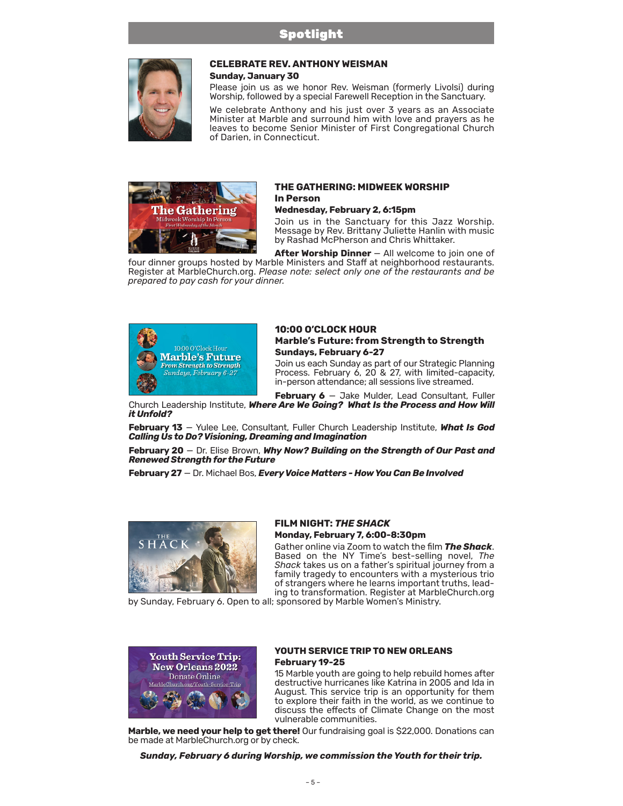

# **CELEBRATE REV. ANTHONY WEISMAN**

**Sunday, January 30**

Please join us as we honor Rev. Weisman (formerly Livolsi) during Worship, followed by a special Farewell Reception in the Sanctuary.

We celebrate Anthony and his just over 3 years as an Associate Minister at Marble and surround him with love and prayers as he leaves to become Senior Minister of First Congregational Church of Darien, in Connecticut.



## **THE GATHERING: MIDWEEK WORSHIP In Person**

### **Wednesday, February 2, 6:15pm**

Join us in the Sanctuary for this Jazz Worship. Message by Rev. Brittany Juliette Hanlin with music by Rashad McPherson and Chris Whittaker.

**After Worship Dinner** — All welcome to join one of four dinner groups hosted by Marble Ministers and Staff at neighborhood restaurants. Register at MarbleChurch.org. *Please note: select only one of the restaurants and be prepared to pay cash for your dinner.*



## **10:00 O'CLOCK HOUR Marble's Future: from Strength to Strength Sundays, February 6-27**

Join us each Sunday as part of our Strategic Planning Process. February 6, 20 & 27, with limited-capacity, in-person attendance; all sessions live streamed.

**February 6** — Jake Mulder, Lead Consultant, Fuller Church Leadership Institute, *Where Are We Going? What Is the Process and How Will it Unfold?* 

**February 13** — Yulee Lee, Consultant, Fuller Church Leadership Institute, *What Is God Calling Us to Do? Visioning, Dreaming and Imagination*

**February 20** — Dr. Elise Brown, *Why Now? Building on the Strength of Our Past and Renewed Strength for the Future*

**February 27** — Dr. Michael Bos, *Every Voice Matters - How You Can Be Involved*



## **FILM NIGHT:** *THE SHACK* **Monday, February 7, 6:00-8:30pm**

Gather online via Zoom to watch the film *The Shack*. Based on the NY Time's best-selling novel, *The Shack* takes us on a father's spiritual journey from a family tragedy to encounters with a mysterious trio of strangers where he learns important truths, leading to transformation. Register at MarbleChurch.org

by Sunday, February 6. Open to all; sponsored by Marble Women's Ministry.



## **YOUTH SERVICE TRIP TO NEW ORLEANS February 19-25**

15 Marble youth are going to help rebuild homes after destructive hurricanes like Katrina in 2005 and Ida in August. This service trip is an opportunity for them to explore their faith in the world, as we continue to discuss the effects of Climate Change on the most vulnerable communities.

**Marble, we need your help to get there!** Our fundraising goal is \$22,000. Donations can be made at MarbleChurch.org or by check.

*Sunday, February 6 during Worship, we commission the Youth for their trip.*